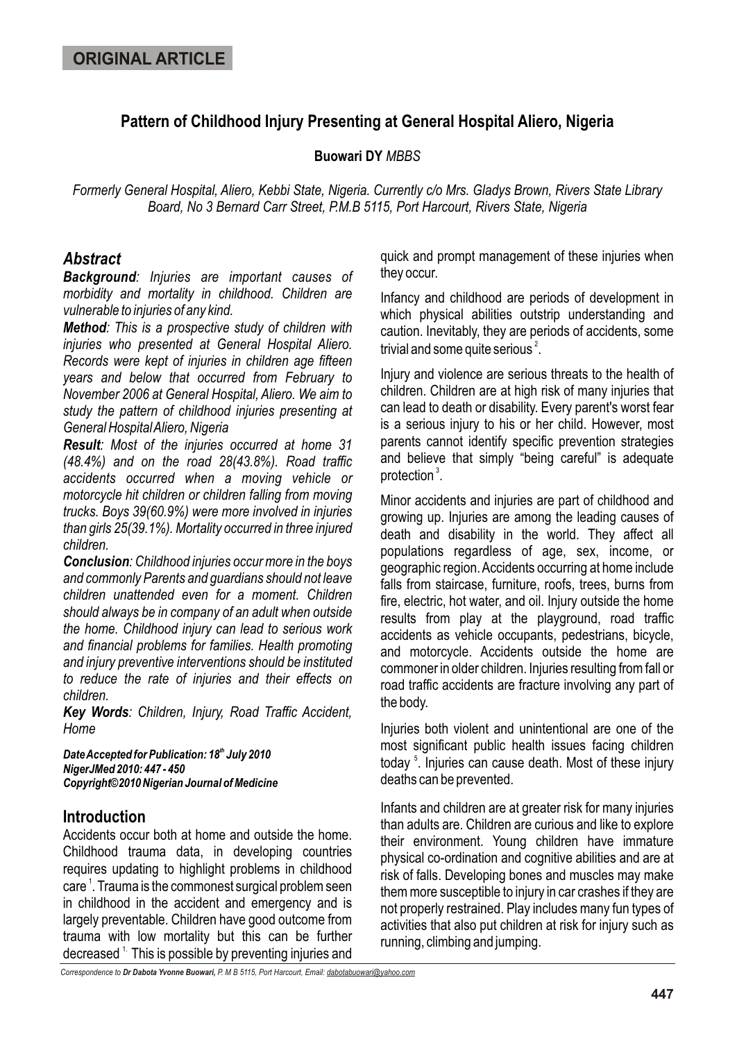# **Pattern of Childhood Injury Presenting at General Hospital Aliero, Nigeria**

### **Buowari DY** *MBBS*

*Formerly General Hospital, Aliero, Kebbi State, Nigeria. Currently c/o Mrs. Gladys Brown, Rivers State Library Board, No 3 Bernard Carr Street, P.M.B 5115, Port Harcourt, Rivers State, Nigeria*

# *Abstract*

*Background: Injuries are important causes of morbidity and mortality in childhood. Children are vulnerable to injuries of any kind.*

*Method: This is a prospective study of children with injuries who presented at General Hospital Aliero. Records were kept of injuries in children age fifteen years and below that occurred from February to November 2006 at General Hospital, Aliero. We aim to study the pattern of childhood injuries presenting at General Hospital Aliero, Nigeria*

*Result: Most of the injuries occurred at home 31 (48.4%) and on the road 28(43.8%). Road traffic accidents occurred when a moving vehicle or motorcycle hit children or children falling from moving trucks. Boys 39(60.9%) were more involved in injuries than girls 25(39.1%). Mortality occurred in three injured children.* 

*Conclusion: Childhood injuries occur more in the boys and commonly Parents and guardians should not leave children unattended even for a moment. Children should always be in company of an adult when outside the home. Childhood injury can lead to serious work and financial problems for families. Health promoting and injury preventive interventions should be instituted to reduce the rate of injuries and their effects on children.*

*Key Words: Children, Injury, Road Traffic Accident, Home*

**Date Accepted for Publication: 18<sup>th</sup> July 2010** *NigerJMed 2010: 447 - 450 Copyright©2010 Nigerian Journal of Medicine*

### **Introduction**

Accidents occur both at home and outside the home. Childhood trauma data, in developing countries requires updating to highlight problems in childhood care <sup>1</sup>. Trauma is the commonest surgical problem seen in childhood in the accident and emergency and is largely preventable. Children have good outcome from trauma with low mortality but this can be further decreased  $<sup>1</sup>$ . This is possible by preventing injuries and</sup>

quick and prompt management of these injuries when they occur.

Infancy and childhood are periods of development in which physical abilities outstrip understanding and caution. Inevitably, they are periods of accidents, some trivial and some quite serious $^2$ .

Injury and violence are serious threats to the health of children. Children are at high risk of many injuries that can lead to death or disability. Every parent's worst fear is a serious injury to his or her child. However, most parents cannot identify specific prevention strategies and believe that simply "being careful" is adequate protection $^3$ .

Minor accidents and injuries are part of childhood and growing up. Injuries are among the leading causes of death and disability in the world. They affect all populations regardless of age, sex, income, or geographic region. Accidents occurring at home include falls from staircase, furniture, roofs, trees, burns from fire, electric, hot water, and oil. Injury outside the home results from play at the playground, road traffic accidents as vehicle occupants, pedestrians, bicycle, and motorcycle. Accidents outside the home are commoner in older children. Injuries resulting from fall or road traffic accidents are fracture involving any part of the body.

Injuries both violent and unintentional are one of the most significant public health issues facing children today<sup>5</sup>. Injuries can cause death. Most of these injury deaths can be prevented.

Infants and children are at greater risk for many injuries than adults are. Children are curious and like to explore their environment. Young children have immature physical co-ordination and cognitive abilities and are at risk of falls. Developing bones and muscles may make them more susceptible to injury in car crashes if they are not properly restrained. Play includes many fun types of activities that also put children at risk for injury such as running, climbing and jumping.

*Correspondence to Dr Dabota Yvonne Buowari, P. M B 5115, Port Harcourt, Email: dabotabuowari@yahoo.com*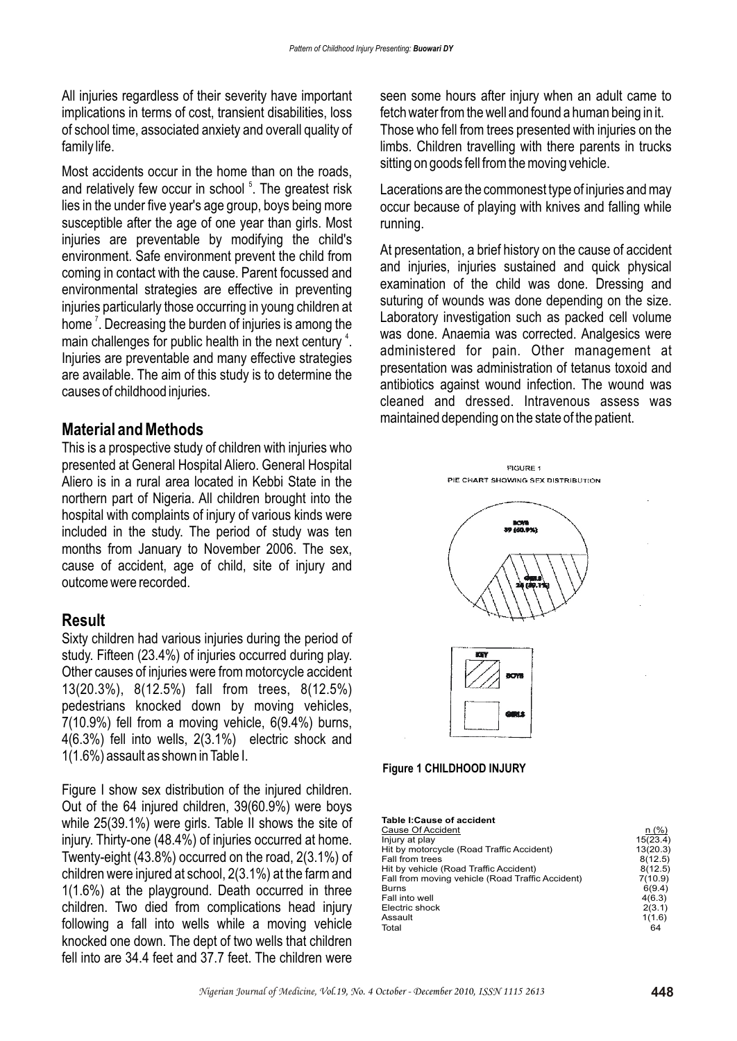All injuries regardless of their severity have important implications in terms of cost, transient disabilities, loss of school time, associated anxiety and overall quality of family life.

Most accidents occur in the home than on the roads, and relatively few occur in school<sup>5</sup>. The greatest risk lies in the under five year's age group, boys being more susceptible after the age of one year than girls. Most injuries are preventable by modifying the child's environment. Safe environment prevent the child from coming in contact with the cause. Parent focussed and environmental strategies are effective in preventing injuries particularly those occurring in young children at home  $\bar{\ }$ . Decreasing the burden of injuries is among the main challenges for public health in the next century  $4$ . Injuries are preventable and many effective strategies are available. The aim of this study is to determine the causes of childhood injuries.

### **Material and Methods**

This is a prospective study of children with injuries who presented at General Hospital Aliero. General Hospital Aliero is in a rural area located in Kebbi State in the northern part of Nigeria. All children brought into the hospital with complaints of injury of various kinds were included in the study. The period of study was ten months from January to November 2006. The sex, cause of accident, age of child, site of injury and outcome were recorded.

#### **Result**

Sixty children had various injuries during the period of study. Fifteen (23.4%) of injuries occurred during play. Other causes of injuries were from motorcycle accident 13(20.3%), 8(12.5%) fall from trees, 8(12.5%) pedestrians knocked down by moving vehicles, 7(10.9%) fell from a moving vehicle, 6(9.4%) burns, 4(6.3%) fell into wells, 2(3.1%) electric shock and 1(1.6%) assault as shown in Table I.

Figure I show sex distribution of the injured children. Out of the 64 injured children, 39(60.9%) were boys while 25(39.1%) were girls. Table II shows the site of injury. Thirty-one (48.4%) of injuries occurred at home. Twenty-eight (43.8%) occurred on the road, 2(3.1%) of children were injured at school, 2(3.1%) at the farm and 1(1.6%) at the playground. Death occurred in three children. Two died from complications head injury following a fall into wells while a moving vehicle knocked one down. The dept of two wells that children fell into are 34.4 feet and 37.7 feet. The children were

seen some hours after injury when an adult came to fetch water from the well and found a human being in it. Those who fell from trees presented with injuries on the limbs. Children travelling with there parents in trucks sitting on goods fell from the moving vehicle.

Lacerations are the commonest type of injuries and may occur because of playing with knives and falling while running.

At presentation, a brief history on the cause of accident and injuries, injuries sustained and quick physical examination of the child was done. Dressing and suturing of wounds was done depending on the size. Laboratory investigation such as packed cell volume was done. Anaemia was corrected. Analgesics were administered for pain. Other management at presentation was administration of tetanus toxoid and antibiotics against wound infection. The wound was cleaned and dressed. Intravenous assess was maintained depending on the state of the patient.







| $n$ (%)  |
|----------|
| 15(23.4) |
| 13(20.3) |
| 8(12.5)  |
| 8(12.5)  |
| 7(10.9)  |
| 6(9.4)   |
| 4(6.3)   |
| 2(3.1)   |
| 1(1.6)   |
| 64       |
|          |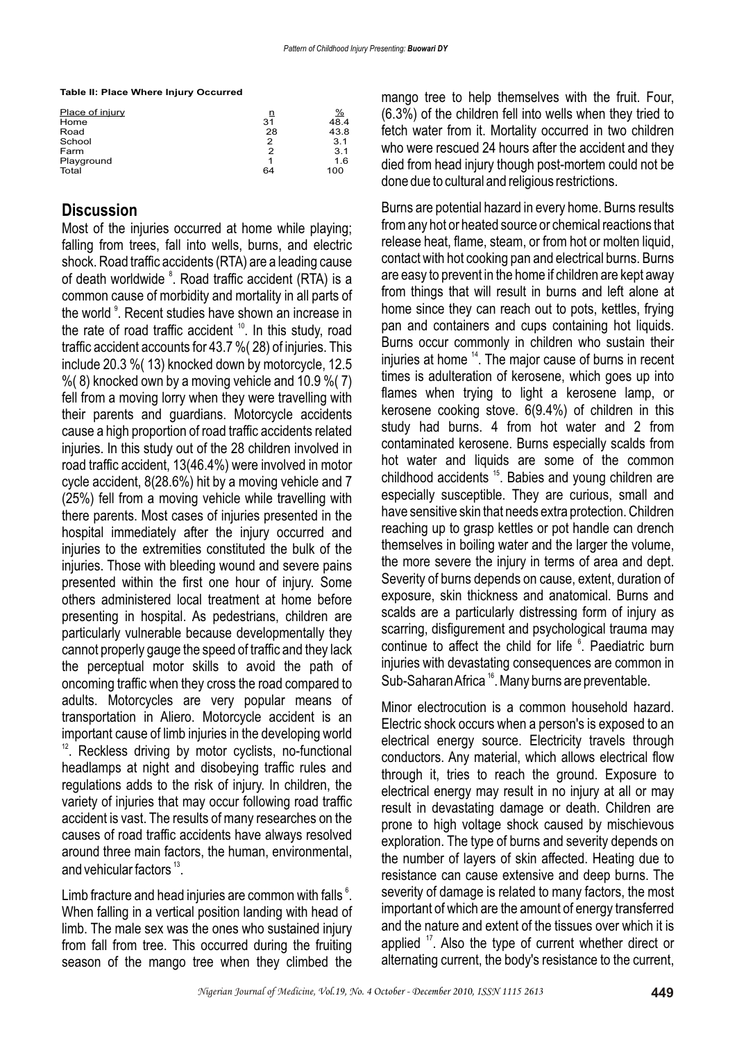**Table II: Place Where Injury Occurred**

| Place of injury | n  | $\frac{9}{6}$ |
|-----------------|----|---------------|
| Home            | 31 | 48.4          |
| Road            | 28 | 43.8          |
| School          | 2  | 3.1           |
| Farm            | 2  | 3.1           |
| Playground      | 1  | 1.6           |
| Total           | 64 | 100           |

## **Discussion**

Most of the injuries occurred at home while playing; falling from trees, fall into wells, burns, and electric shock. Road traffic accidents (RTA) are a leading cause of death worldwide <sup>8</sup>. Road traffic accident (RTA) is a common cause of morbidity and mortality in all parts of the world <sup>9</sup>. Recent studies have shown an increase in the rate of road traffic accident  $10$ . In this study, road traffic accident accounts for 43.7 %( 28) of injuries. This include 20.3 %( 13) knocked down by motorcycle, 12.5  $\%$  (8) knocked own by a moving vehicle and 10.9  $\%$  (7) fell from a moving lorry when they were travelling with their parents and guardians. Motorcycle accidents cause a high proportion of road traffic accidents related injuries. In this study out of the 28 children involved in road traffic accident, 13(46.4%) were involved in motor cycle accident, 8(28.6%) hit by a moving vehicle and 7 (25%) fell from a moving vehicle while travelling with there parents. Most cases of injuries presented in the hospital immediately after the injury occurred and injuries to the extremities constituted the bulk of the injuries. Those with bleeding wound and severe pains presented within the first one hour of injury. Some others administered local treatment at home before presenting in hospital. As pedestrians, children are particularly vulnerable because developmentally they cannot properly gauge the speed of traffic and they lack the perceptual motor skills to avoid the path of oncoming traffic when they cross the road compared to adults. Motorcycles are very popular means of transportation in Aliero. Motorcycle accident is an important cause of limb injuries in the developing world  $12$ . Reckless driving by motor cyclists, no-functional headlamps at night and disobeying traffic rules and regulations adds to the risk of injury. In children, the variety of injuries that may occur following road traffic accident is vast. The results of many researches on the causes of road traffic accidents have always resolved around three main factors, the human, environmental, and vehicular factors  $13$ .

Limb fracture and head injuries are common with falls  $^6$ . When falling in a vertical position landing with head of limb. The male sex was the ones who sustained injury from fall from tree. This occurred during the fruiting season of the mango tree when they climbed the

mango tree to help themselves with the fruit. Four, (6.3%) of the children fell into wells when they tried to fetch water from it. Mortality occurred in two children who were rescued 24 hours after the accident and they died from head injury though post-mortem could not be done due to cultural and religious restrictions.

Burns are potential hazard in every home. Burns results from any hot or heated source or chemical reactions that release heat, flame, steam, or from hot or molten liquid, contact with hot cooking pan and electrical burns. Burns are easy to prevent in the home if children are kept away from things that will result in burns and left alone at home since they can reach out to pots, kettles, frying pan and containers and cups containing hot liquids. Burns occur commonly in children who sustain their injuries at home  $14$ . The major cause of burns in recent times is adulteration of kerosene, which goes up into flames when trying to light a kerosene lamp, or kerosene cooking stove. 6(9.4%) of children in this study had burns. 4 from hot water and 2 from contaminated kerosene. Burns especially scalds from hot water and liquids are some of the common childhood accidents  $15$ . Babies and young children are especially susceptible. They are curious, small and have sensitive skin that needs extra protection. Children reaching up to grasp kettles or pot handle can drench themselves in boiling water and the larger the volume, the more severe the injury in terms of area and dept. Severity of burns depends on cause, extent, duration of exposure, skin thickness and anatomical. Burns and scalds are a particularly distressing form of injury as scarring, disfigurement and psychological trauma may continue to affect the child for life <sup>6</sup>. Paediatric burn injuries with devastating consequences are common in Sub-Saharan Africa <sup>16</sup>. Many burns are preventable.

Minor electrocution is a common household hazard. Electric shock occurs when a person's is exposed to an electrical energy source. Electricity travels through conductors. Any material, which allows electrical flow through it, tries to reach the ground. Exposure to electrical energy may result in no injury at all or may result in devastating damage or death. Children are prone to high voltage shock caused by mischievous exploration. The type of burns and severity depends on the number of layers of skin affected. Heating due to resistance can cause extensive and deep burns. The severity of damage is related to many factors, the most important of which are the amount of energy transferred and the nature and extent of the tissues over which it is applied  $17$ . Also the type of current whether direct or alternating current, the body's resistance to the current,